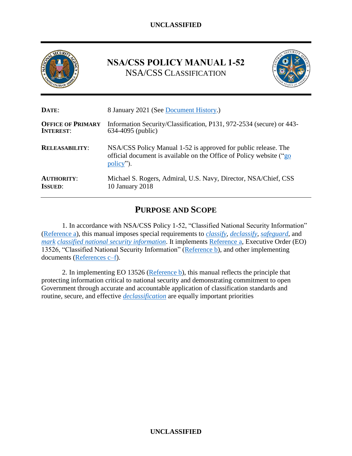

# <span id="page-0-0"></span>**NSA/CSS POLICY MANUAL 1-52** NSA/CSS CLASSIFICATION



| DATE:                    | 8 January 2021 (See Document History.)                                                                                                             |  |
|--------------------------|----------------------------------------------------------------------------------------------------------------------------------------------------|--|
| <b>OFFICE OF PRIMARY</b> | Information Security/Classification, P131, 972-2534 (secure) or 443-                                                                               |  |
| <b>INTEREST:</b>         | 634-4095 (public)                                                                                                                                  |  |
| <b>RELEASABILITY:</b>    | NSA/CSS Policy Manual 1-52 is approved for public release. The<br>official document is available on the Office of Policy website ("go<br>policy"). |  |
| <b>AUTHORITY:</b>        | Michael S. Rogers, Admiral, U.S. Navy, Director, NSA/Chief, CSS                                                                                    |  |
| <b>ISSUED:</b>           | 10 January 2018                                                                                                                                    |  |

# **PURPOSE AND SCOPE**

<span id="page-0-1"></span>1. In accordance with NSA/CSS Policy 1-52, "Classified National Security Information" [\(Reference a\)](#page-14-0), this manual imposes special requirements to *[classify](#page-17-0)*, *[declassify](#page-17-1)*, *[safeguard](#page-18-0)*, and *[mark](#page-17-2) [classified national security information](#page-16-0)*. It implements [Reference a,](#page-14-0) Executive Order (EO) 13526, "Classified National Security Information" [\(Reference b\)](#page-14-1), and other implementing documents [\(References c–f\)](#page-14-2).

2. In implementing EO 13526 [\(Reference b\)](#page-14-1), this manual reflects the principle that protecting information critical to national security and demonstrating commitment to open Government through accurate and accountable application of classification standards and routine, secure, and effective *[declassification](#page-17-3)* are equally important priorities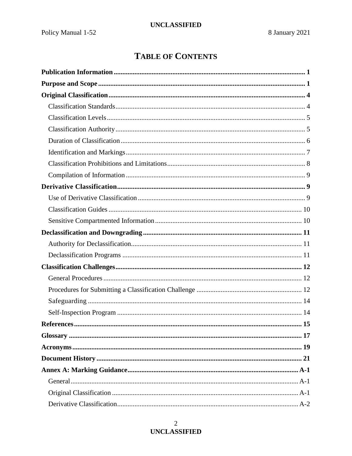# **TABLE OF CONTENTS**

# $\overline{2}$ **UNCLASSIFIED**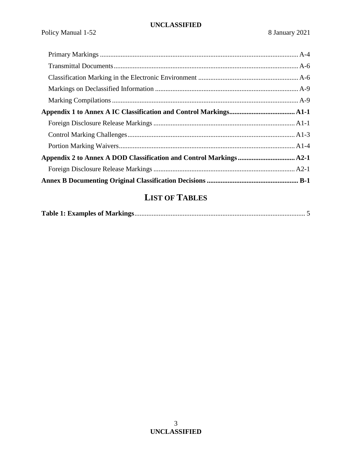# **LIST OF TABLES**

|--|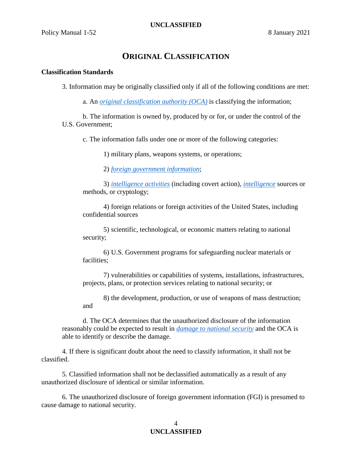# **ORIGINAL CLASSIFICATION**

### <span id="page-3-1"></span><span id="page-3-0"></span>**Classification Standards**

3. Information may be originally classified only if all of the following conditions are met:

a. An *[original classification authority \(OCA\)](#page-18-2)* is classifying the information;

<span id="page-3-2"></span>b. The information is owned by, produced by or for, or under the control of the U.S. Government;

c. The information falls under one or more of the following categories:

1) military plans, weapons systems, or operations;

2) *[foreign government information](#page-17-4)*;

3) *[intelligence activities](#page-17-5)* (including covert action), *[intelligence](#page-17-6)* sources or methods, or cryptology;

4) foreign relations or foreign activities of the United States, including confidential sources

5) scientific, technological, or economic matters relating to national security;

6) U.S. Government programs for safeguarding nuclear materials or facilities;

7) vulnerabilities or capabilities of systems, installations, infrastructures, projects, plans, or protection services relating to national security; or

8) the development, production, or use of weapons of mass destruction; and

d. The OCA determines that the unauthorized disclosure of the information reasonably could be expected to result in *[damage to national security](#page-17-7)* and the OCA is able to identify or describe the damage.

4. If there is significant doubt about the need to classify information, it shall not be classified.

5. Classified information shall not be declassified automatically as a result of any unauthorized disclosure of identical or similar information.

6. The unauthorized disclosure of foreign government information (FGI) is presumed to cause damage to national security.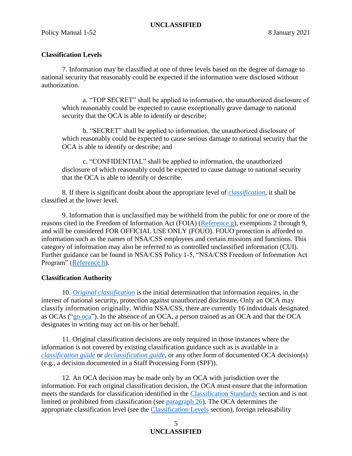## <span id="page-4-0"></span>**Classification Levels**

<span id="page-4-2"></span>7. Information may be classified at one of three levels based on the degree of damage to national security that reasonably could be expected if the information were disclosed without authorization.

a. "TOP SECRET" shall be applied to information, the unauthorized disclosure of which reasonably could be expected to cause exceptionally grave damage to national security that the OCA is able to identify or describe;

b. "SECRET" shall be applied to information, the unauthorized disclosure of which reasonably could be expected to cause serious damage to national security that the OCA is able to identify or describe; and

c. "CONFIDENTIAL" shall be applied to information, the unauthorized disclosure of which reasonably could be expected to cause damage to national security that the OCA is able to identify or describe.

8. If there is significant doubt about the appropriate level of *[classification](#page-16-2)*, it shall be classified at the lower level.

9. Information that is unclassified may be withheld from the public for one or more of the reasons cited in the Freedom of Information Act (FOIA) [\(Reference g\)](#page-14-4), exemptions 2 through 9, and will be considered FOR OFFICIAL USE ONLY (FOUO). FOUO protection is afforded to information such as the names of NSA/CSS employees and certain missions and functions. This category of information may also be referred to as controlled unclassified information (CUI). Further guidance can be found in NSA/CSS Policy 1-5, "NSA/CSS Freedom of Information Act Program" [\(Reference h\)](#page-15-0).

#### <span id="page-4-1"></span>**Classification Authority**

10. *[Original classification](#page-18-3)* is the initial determination that information requires, in the interest of national security, protection against unauthorized disclosure. Only an OCA may classify information originally. Within NSA/CSS, there are currently 16 individuals designated as OCAs (["go oca"](https://urn.nsa.ic.gov/oca)). In the absence of an OCA, a person trained as an OCA and that the OCA designates in writing may act on his or her behalf.

11. Original classification decisions are only required in those instances where the information is not covered by existing classification guidance such as is available in a *[classification guide](#page-16-3)* or *[declassification guide](#page-17-8)*, or any other form of documented OCA decision(s) (e.g., a decision documented in a Staff Processing Form (SPF)).

12. An OCA decision may be made only by an OCA with jurisdiction over the information. For each original classification decision, the OCA must ensure that the information meets the standards for classification identified in the [Classification Standards](#page-3-1) section and is not limited or prohibited from classification (see [paragraph 26\)](#page-7-1). The OCA determines the appropriate classification level (see the [Classification Levels](#page-4-0) section), foreign releasability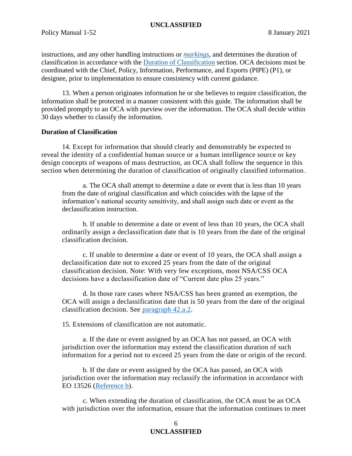instructions, and any other handling instructions or *[markings](#page-17-9)*, and determines the duration of classification in accordance with the [Duration of Classification](#page-5-0) section. OCA decisions must be coordinated with the Chief, Policy, Information, Performance, and Exports (PIPE) (P1), or designee, prior to implementation to ensure consistency with current guidance.

13. When a person originates information he or she believes to require classification, the information shall be protected in a manner consistent with this guide. The information shall be provided promptly to an OCA with purview over the information. The OCA shall decide within 30 days whether to classify the information.

### <span id="page-5-0"></span>**Duration of Classification**

<span id="page-5-2"></span>14. Except for information that should clearly and demonstrably be expected to reveal the identity of a confidential human source or a human intelligence source or key design concepts of weapons of mass destruction, an OCA shall follow the sequence in this section when determining the duration of classification of originally classified information.

a. The OCA shall attempt to determine a date or event that is less than 10 years from the date of original classification and which coincides with the lapse of the information's national security sensitivity, and shall assign such date or event as the declassification instruction.

b. If unable to determine a date or event of less than 10 years, the OCA shall ordinarily assign a declassification date that is 10 years from the date of the original classification decision.

c. If unable to determine a date or event of 10 years, the OCA shall assign a declassification date not to exceed 25 years from the date of the original classification decision. Note: With very few exceptions, most NSA/CSS OCA decisions have a declassification date of "Current date plus 25 years."

d. In those rare cases where NSA/CSS has been granted an exemption, the OCA will assign a declassification date that is 50 years from the date of the original classification decision. See [paragraph 42.a.2.](#page-10-3)

<span id="page-5-1"></span>15. Extensions of classification are not automatic.

a. If the date or event assigned by an OCA has not passed, an OCA with jurisdiction over the information may extend the classification duration of such information for a period not to exceed 25 years from the date or origin of the record.

b. If the date or event assigned by the OCA has passed, an OCA with jurisdiction over the information may reclassify the information in accordance with EO 13526 [\(Reference b\)](#page-14-1).

c. When extending the duration of classification, the OCA must be an OCA with jurisdiction over the information, ensure that the information continues to meet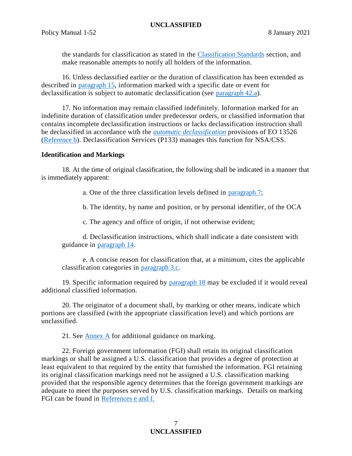the standards for classification as stated in the [Classification Standards](#page-3-1) section, and make reasonable attempts to notify all holders of the information.

16. Unless declassified earlier or the duration of classification has been extended as described in [paragraph 15,](#page-5-1) information marked with a specific date or event for declassification is subject to automatic declassification (see [paragraph 42.a\)](#page-10-4).

17. No information may remain classified indefinitely. Information marked for an indefinite duration of classification under predecessor orders, or classified information that contains incomplete declassification instructions or lacks declassification instruction shall be declassified in accordance with the *[automatic declassification](#page-16-4)* provisions of EO 13526 [\(Reference b\)](#page-14-1). Declassification Services (P133) manages this function for NSA/CSS.

#### <span id="page-6-0"></span>**Identification and Markings**

<span id="page-6-1"></span>18. At the time of original classification, the following shall be indicated in a manner that is immediately apparent:

a. One of the three classification levels defined in [paragraph 7;](#page-4-2)

b. The identity, by name and position, or by personal identifier, of the OCA

c. The agency and office of origin, if not otherwise evident;

d. Declassification instructions, which shall indicate a date consistent with guidance in [paragraph 14.](#page-5-2)

e. A concise reason for classification that, at a minimum, cites the applicable classification categories in [paragraph 3.c.](#page-3-2)

19. Specific information required by [paragraph 18](#page-6-1) may be excluded if it would reveal additional classified information.

20. The originator of a document shall, by marking or other means, indicate which portions are classified (with the appropriate classification level) and which portions are unclassified.

21. See [Annex A](#page-22-0) for additional guidance on marking.

22. Foreign government information (FGI) shall retain its original classification markings or shall be assigned a U.S. classification that provides a degree of protection at least equivalent to that required by the entity that furnished the information. FGI retaining its original classification markings need not be assigned a U.S. classification marking provided that the responsible agency determines that the foreign government markings are adequate to meet the purposes served by U.S. classification markings. Details on marking FGI can be found in [References e and f.](#page-14-5)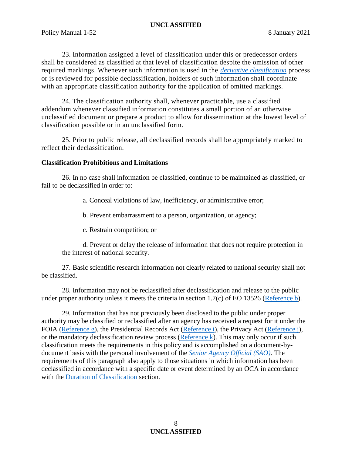23. Information assigned a level of classification under this or predecessor orders shall be considered as classified at that level of classification despite the omission of other required markings. Whenever such information is used in the *[derivative classification](#page-17-10)* process or is reviewed for possible declassification, holders of such information shall coordinate with an appropriate classification authority for the application of omitted markings.

24. The classification authority shall, whenever practicable, use a classified addendum whenever classified information constitutes a small portion of an otherwise unclassified document or prepare a product to allow for dissemination at the lowest level of classification possible or in an unclassified form.

25. Prior to public release, all declassified records shall be appropriately marked to reflect their declassification.

### <span id="page-7-0"></span>**Classification Prohibitions and Limitations**

<span id="page-7-1"></span>26. In no case shall information be classified, continue to be maintained as classified, or fail to be declassified in order to:

a. Conceal violations of law, inefficiency, or administrative error;

b. Prevent embarrassment to a person, organization, or agency;

c. Restrain competition; or

d. Prevent or delay the release of information that does not require protection in the interest of national security.

27. Basic scientific research information not clearly related to national security shall not be classified.

28. Information may not be reclassified after declassification and release to the public under proper authority unless it meets the criteria in section 1.7(c) of EO 13526 [\(Reference b\)](#page-14-1).

29. Information that has not previously been disclosed to the public under proper authority may be classified or reclassified after an agency has received a request for it under the FOIA [\(Reference](#page-14-4) g), the Presidential Records Act [\(Reference i\)](#page-15-1), the Privacy Act [\(Reference j\)](#page-15-2), or the mandatory declassification review process [\(Reference k\)](#page-15-3). This may only occur if such classification meets the requirements in this policy and is accomplished on a document-bydocument basis with the personal involvement of the *[Senior Agency Official \(SAO\)](#page-18-4)*. The requirements of this paragraph also apply to those situations in which information has been declassified in accordance with a specific date or event determined by an OCA in accordance with the **Duration** of **Classification** section.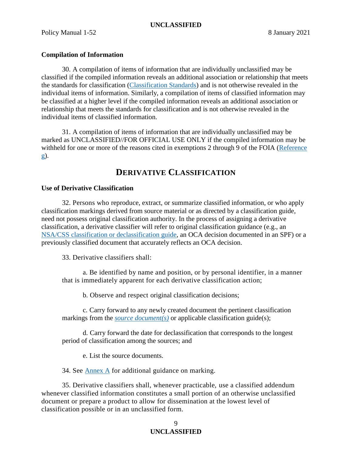## <span id="page-8-0"></span>**Compilation of Information**

30. A compilation of items of information that are individually unclassified may be classified if the compiled information reveals an additional association or relationship that meets the standards for classification [\(Classification Standards\)](#page-3-1) and is not otherwise revealed in the individual items of information. Similarly, a compilation of items of classified information may be classified at a higher level if the compiled information reveals an additional association or relationship that meets the standards for classification and is not otherwise revealed in the individual items of classified information.

31. A compilation of items of information that are individually unclassified may be marked as UNCLASSIFIED//FOR OFFICIAL USE ONLY if the compiled information may be withheld for one or more of the reasons cited in exemptions 2 through 9 of the FOIA [\(Reference](#page-14-4)  [g\)](#page-14-4).

# **DERIVATIVE CLASSIFICATION**

## <span id="page-8-2"></span><span id="page-8-1"></span>**Use of Derivative Classification**

32. Persons who reproduce, extract, or summarize classified information, or who apply classification markings derived from source material or as directed by a classification guide, need not possess original classification authority. In the process of assigning a derivative classification, a derivative classifier will refer to original classification guidance (e.g., an [NSA/CSS classification or declassification guide,](http://urn.nsa.ic.gov/classguides) an OCA decision documented in an SPF) or a previously classified document that accurately reflects an OCA decision.

33. Derivative classifiers shall:

a. Be identified by name and position, or by personal identifier, in a manner that is immediately apparent for each derivative classification action;

b. Observe and respect original classification decisions;

c. Carry forward to any newly created document the pertinent classification markings from the *[source document\(s\)](#page-18-5)* or applicable classification guide(s);

d. Carry forward the date for declassification that corresponds to the longest period of classification among the sources; and

e. List the source documents.

34. See [Annex A](#page-22-0) for additional guidance on marking.

35. Derivative classifiers shall, whenever practicable, use a classified addendum whenever classified information constitutes a small portion of an otherwise unclassified document or prepare a product to allow for dissemination at the lowest level of classification possible or in an unclassified form.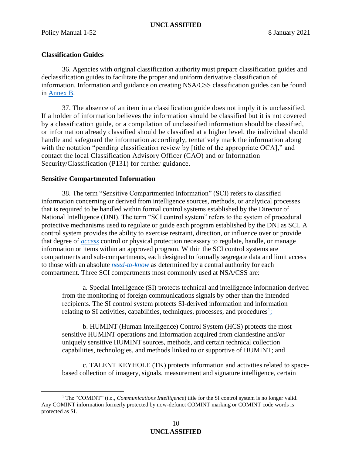## <span id="page-9-0"></span>**Classification Guides**

 $\overline{a}$ 

36. Agencies with original classification authority must prepare classification guides and declassification guides to facilitate the proper and uniform derivative classification of information. Information and guidance on creating NSA/CSS classification guides can be found in Annex B.

37. The absence of an item in a classification guide does not imply it is unclassified. If a holder of information believes the information should be classified but it is not covered by a classification guide, or a compilation of unclassified information should be classified, or information already classified should be classified at a higher level, the individual should handle and safeguard the information accordingly, tentatively mark the information along with the notation "pending classification review by [title of the appropriate OCA]," and contact the local Classification Advisory Officer (CAO) and or Information Security/Classification (P131) for further guidance.

#### <span id="page-9-1"></span>**Sensitive Compartmented Information**

38. The term "Sensitive Compartmented Information" (SCI) refers to classified information concerning or derived from intelligence sources, methods, or analytical processes that is required to be handled within formal control systems established by the Director of National Intelligence (DNI). The term "SCI control system" refers to the system of procedural protective mechanisms used to regulate or guide each program established by the DNI as SCI. A control system provides the ability to exercise restraint, direction, or influence over or provide that degree of *[access](#page-16-5)* control or physical protection necessary to regulate, handle, or manage information or items within an approved program. Within the SCI control systems are compartments and sub-compartments, each designed to formally segregate data and limit access to those with an absolute *[need-to-know](#page-18-6)* as determined by a central authority for each compartment. Three SCI compartments most commonly used at NSA/CSS are:

a. Special Intelligence (SI) protects technical and intelligence information derived from the monitoring of foreign communications signals by other than the intended recipients. The SI control system protects SI-derived information and information relating to SI activities, capabilities, techniques, processes, and procedures $\frac{1}{2}$ 

b. HUMINT (Human Intelligence) Control System (HCS) protects the most sensitive HUMINT operations and information acquired from clandestine and/or uniquely sensitive HUMINT sources, methods, and certain technical collection capabilities, technologies, and methods linked to or supportive of HUMINT; and

c. TALENT KEYHOLE (TK) protects information and activities related to spacebased collection of imagery, signals, measurement and signature intelligence, certain

<span id="page-9-2"></span><sup>1</sup> The "COMINT" (i.e., *Communications Intelligence*) title for the SI control system is no longer valid. Any COMINT information formerly protected by now-defunct COMINT marking or COMINT code words is protected as SI.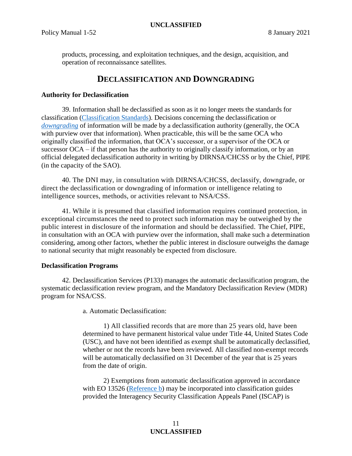products, processing, and exploitation techniques, and the design, acquisition, and operation of reconnaissance satellites.

# **DECLASSIFICATION AND DOWNGRADING**

### <span id="page-10-1"></span><span id="page-10-0"></span>**Authority for Declassification**

39. Information shall be declassified as soon as it no longer meets the standards for classification [\(Classification Standards\)](#page-3-1). Decisions concerning the declassification or *[downgrading](#page-17-11)* of information will be made by a declassification authority (generally, the OCA with purview over that information). When practicable, this will be the same OCA who originally classified the information, that OCA's successor, or a supervisor of the OCA or successor OCA – if that person has the authority to originally classify information, or by an official delegated declassification authority in writing by DIRNSA/CHCSS or by the Chief, PIPE (in the capacity of the SAO).

40. The DNI may, in consultation with DIRNSA/CHCSS, declassify, downgrade, or direct the declassification or downgrading of information or intelligence relating to intelligence sources, methods, or activities relevant to NSA/CSS.

41. While it is presumed that classified information requires continued protection, in exceptional circumstances the need to protect such information may be outweighed by the public interest in disclosure of the information and should be declassified. The Chief, PIPE, in consultation with an OCA with purview over the information, shall make such a determination considering, among other factors, whether the public interest in disclosure outweighs the damage to national security that might reasonably be expected from disclosure.

#### <span id="page-10-2"></span>**Declassification Programs**

<span id="page-10-4"></span>42. Declassification Services (P133) manages the automatic declassification program, the systematic declassification review program, and the Mandatory Declassification Review (MDR) program for NSA/CSS.

a. Automatic Declassification:

1) All classified records that are more than 25 years old, have been determined to have permanent historical value under Title 44, United States Code (USC), and have not been identified as exempt shall be automatically declassified, whether or not the records have been reviewed. All classified non-exempt records will be automatically declassified on 31 December of the year that is 25 years from the date of origin.

<span id="page-10-3"></span>2) Exemptions from automatic declassification approved in accordance with EO 13526 [\(Reference b\)](#page-14-1) may be incorporated into classification guides provided the Interagency Security Classification Appeals Panel (ISCAP) is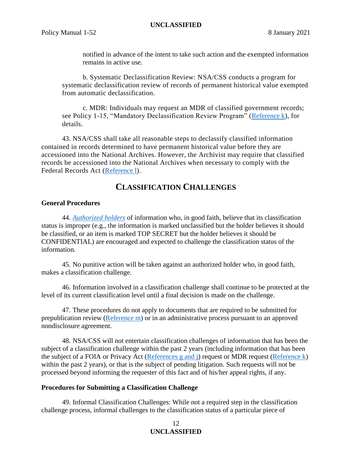notified in advance of the intent to take such action and the exempted information remains in active use.

b. Systematic Declassification Review: NSA/CSS conducts a program for systematic declassification review of records of permanent historical value exempted from automatic declassification.

c. MDR: Individuals may request an MDR of classified government records; see Policy 1-15, "Mandatory Declassification Review Program" [\(Reference k\)](#page-15-3), for details.

43. NSA/CSS shall take all reasonable steps to declassify classified information contained in records determined to have permanent historical value before they are accessioned into the National Archives. However, the Archivist may require that classified records be accessioned into the National Archives when necessary to comply with the Federal Records Act [\(Reference l\)](#page-15-4).

# **CLASSIFICATION CHALLENGES**

## <span id="page-11-1"></span><span id="page-11-0"></span>**General Procedures**

44. *[Authorized holders](#page-16-6)* of information who, in good faith, believe that its classification status is improper (e.g., the information is marked unclassified but the holder believes it should be classified, or an item is marked TOP SECRET but the holder believes it should be CONFIDENTIAL) are encouraged and expected to challenge the classification status of the information.

45. No punitive action will be taken against an authorized holder who, in good faith, makes a classification challenge.

46. Information involved in a classification challenge shall continue to be protected at the level of its current classification level until a final decision is made on the challenge.

47. These procedures do not apply to documents that are required to be submitted for prepublication review [\(Reference m\)](#page-15-5) or in an administrative process pursuant to an approved nondisclosure agreement.

48. NSA/CSS will not entertain classification challenges of information that has been the subject of a classification challenge within the past 2 years (including information that has been the subject of a FOIA or Privacy Act [\(References g and j\)](#page-14-4) request or MDR request [\(Reference k\)](#page-15-3) within the past 2 years), or that is the subject of pending litigation. Such requests will not be processed beyond informing the requester of this fact and of his/her appeal rights, if any.

#### <span id="page-11-2"></span>**Procedures for Submitting a Classification Challenge**

49. Informal Classification Challenges: While not a required step in the classification challenge process, informal challenges to the classification status of a particular piece of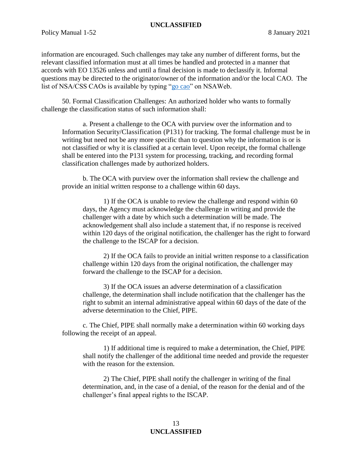information are encouraged. Such challenges may take any number of different forms, but the relevant classified information must at all times be handled and protected in a manner that accords with EO 13526 unless and until a final decision is made to declassify it. Informal questions may be directed to the originator/owner of the information and/or the local CAO. The list of NSA/CSS CAOs is available by typing ["go cao"](https://urn.nsa.ic.gov/cao) on NSAWeb.

50. Formal Classification Challenges: An authorized holder who wants to formally challenge the classification status of such information shall:

a. Present a challenge to the OCA with purview over the information and to Information Security/Classification (P131) for tracking. The formal challenge must be in writing but need not be any more specific than to question why the information is or is not classified or why it is classified at a certain level. Upon receipt, the formal challenge shall be entered into the P131 system for processing, tracking, and recording formal classification challenges made by authorized holders.

b. The OCA with purview over the information shall review the challenge and provide an initial written response to a challenge within 60 days.

1) If the OCA is unable to review the challenge and respond within 60 days, the Agency must acknowledge the challenge in writing and provide the challenger with a date by which such a determination will be made. The acknowledgement shall also include a statement that, if no response is received within 120 days of the original notification, the challenger has the right to forward the challenge to the ISCAP for a decision.

2) If the OCA fails to provide an initial written response to a classification challenge within 120 days from the original notification, the challenger may forward the challenge to the ISCAP for a decision.

3) If the OCA issues an adverse determination of a classification challenge, the determination shall include notification that the challenger has the right to submit an internal administrative appeal within 60 days of the date of the adverse determination to the Chief, PIPE.

c. The Chief, PIPE shall normally make a determination within 60 working days following the receipt of an appeal.

1) If additional time is required to make a determination, the Chief, PIPE shall notify the challenger of the additional time needed and provide the requester with the reason for the extension.

2) The Chief, PIPE shall notify the challenger in writing of the final determination, and, in the case of a denial, of the reason for the denial and of the challenger's final appeal rights to the ISCAP.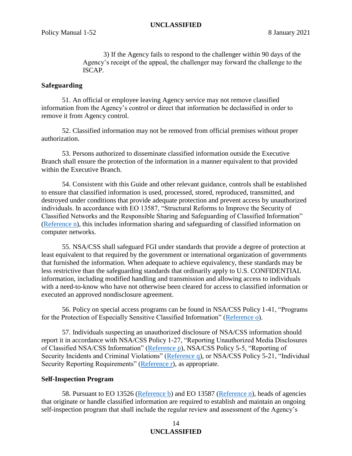3) If the Agency fails to respond to the challenger within 90 days of the Agency's receipt of the appeal, the challenger may forward the challenge to the ISCAP.

### <span id="page-13-0"></span>**Safeguarding**

51. An official or employee leaving Agency service may not remove classified information from the Agency's control or direct that information be declassified in order to remove it from Agency control.

52. Classified information may not be removed from official premises without proper authorization.

53. Persons authorized to disseminate classified information outside the Executive Branch shall ensure the protection of the information in a manner equivalent to that provided within the Executive Branch.

54. Consistent with this Guide and other relevant guidance, controls shall be established to ensure that classified information is used, processed, stored, reproduced, transmitted, and destroyed under conditions that provide adequate protection and prevent access by unauthorized individuals. In accordance with EO 13587, "Structural Reforms to Improve the Security of Classified Networks and the Responsible Sharing and Safeguarding of Classified Information" [\(Reference n\)](#page-15-6), this includes information sharing and safeguarding of classified information on computer networks.

55. NSA/CSS shall safeguard FGI under standards that provide a degree of protection at least equivalent to that required by the government or international organization of governments that furnished the information. When adequate to achieve equivalency, these standards may be less restrictive than the safeguarding standards that ordinarily apply to U.S. CONFIDENTIAL information, including modified handling and transmission and allowing access to individuals with a need-to-know who have not otherwise been cleared for access to classified information or executed an approved nondisclosure agreement.

56. Policy on special access programs can be found in NSA/CSS Policy 1-41, "Programs for the Protection of Especially Sensitive Classified Information" [\(Reference o\)](#page-15-7).

57. Individuals suspecting an unauthorized disclosure of NSA/CSS information should report it in accordance with NSA/CSS Policy 1-27, "Reporting Unauthorized Media Disclosures of Classified NSA/CSS Information" [\(Reference p\)](#page-15-8), NSA/CSS Policy 5-5, "Reporting of Security Incidents and Criminal Violations" [\(Reference q\)](#page-15-9), or NSA/CSS Policy 5-21, "Individual Security Reporting Requirements" [\(Reference r\)](#page-15-10), as appropriate.

#### <span id="page-13-1"></span>**Self-Inspection Program**

58. Pursuant to EO 13526 [\(Reference b\)](#page-14-1) and EO 13587 [\(Reference n\)](#page-15-6), heads of agencies that originate or handle classified information are required to establish and maintain an ongoing self-inspection program that shall include the regular review and assessment of the Agency's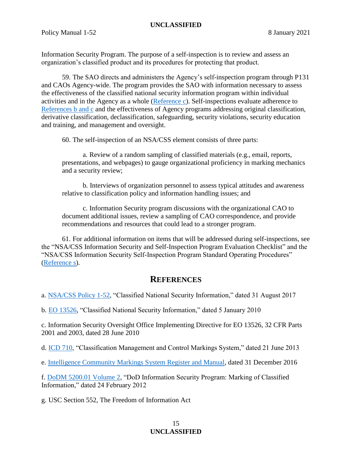Information Security Program. The purpose of a self-inspection is to review and assess an organization's classified product and its procedures for protecting that product.

59. The SAO directs and administers the Agency's self-inspection program through P131 and CAOs Agency-wide. The program provides the SAO with information necessary to assess the effectiveness of the classified national security information program within individual activities and in the Agency as a whole [\(Reference c\)](#page-14-2). Self-inspections evaluate adherence to [References b and c](#page-14-1) and the effectiveness of Agency programs addressing original classification, derivative classification, declassification, safeguarding, security violations, security education and training, and management and oversight.

60. The self-inspection of an NSA/CSS element consists of three parts:

a. Review of a random sampling of classified materials (e.g., email, reports, presentations, and webpages) to gauge organizational proficiency in marking mechanics and a security review;

b. Interviews of organization personnel to assess typical attitudes and awareness relative to classification policy and information handling issues; and

c. Information Security program discussions with the organizational CAO to document additional issues, review a sampling of CAO correspondence, and provide recommendations and resources that could lead to a stronger program.

61. For additional information on items that will be addressed during self-inspections, see the "NSA/CSS Information Security and Self-Inspection Program Evaluation Checklist" and the "NSA/CSS Information Security Self-Inspection Program Standard Operating Procedures" [\(Reference s\)](#page-15-11).

# **REFERENCES**

<span id="page-14-3"></span><span id="page-14-0"></span>a. [NSA/CSS Policy 1-52,](http://urn.nsa.ic.gov/Policy1-52) "Classified National Security Information," dated 31 August 2017

<span id="page-14-1"></span>b. [EO 13526,](https://siteworks.web.nsa.ic.gov/files/731/EO/13526.pdf) "Classified National Security Information," dated 5 January 2010

<span id="page-14-2"></span>c. Information Security Oversight Office Implementing Directive for EO 13526, 32 CFR Parts 2001 and 2003, dated 28 June 2010

<span id="page-14-7"></span>d. [ICD 710, "Classification Management and Control Markings System,](https://intelshare.intelink.ic.gov/sites/policyandstrategy/Policy%20Documents/ICD%20710%20-%20Classification%20Mgmt%20and%20Control%20Markings.pdf)" dated 21 June 2013

<span id="page-14-5"></span>e. [Intelligence Community Markings System Register and Manual,](https://wiki.nsa.ic.gov/img_auth.php/3/3b/Intelligence_Community_Markings_System_Register_and_Manual_2016-12-31.pdf) dated 31 December 2016

<span id="page-14-6"></span>f. [DoDM 5200.01 Volume 2,](https://netinfo.proj.nsa.ic.gov/www.dtic.mil/whs/directives/corres/pdf/520001_vol2.pdf) "DoD Information Security Program: Marking of Classified Information," dated 24 February 2012

<span id="page-14-4"></span>g. USC Section 552, The Freedom of Information Act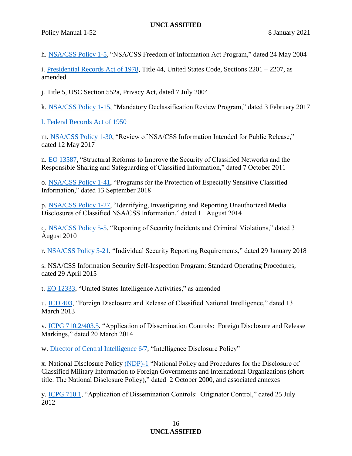<span id="page-15-14"></span><span id="page-15-0"></span>h. [NSA/CSS Policy 1-5,](http://urn.nsa.ic.gov/Policy1-5) "NSA/CSS Freedom of Information Act Program," dated 24 May 2004

<span id="page-15-1"></span>i. [Presidential Records Act of 1978,](https://netinfo.proj.nsa.ic.gov/frwebgate.access.gpo.gov/cgi-bin/usc.cgi-ACTION=BROWSE&TITLE=44USCC22&PDFS=YES.htm) Title 44, United States Code, Sections 2201 – 2207, as amended

<span id="page-15-2"></span>j. Title 5, USC Section 552a, Privacy Act, dated 7 July 2004

<span id="page-15-3"></span>k. [NSA/CSS Policy 1-15,](http://urn.nsa.ic.gov/Policy1-15) "Mandatory Declassification Review Program," dated 3 February 2017

<span id="page-15-4"></span>l. [Federal Records Act of 1950](https://siteworks.web.nsa.ic.gov/p133_toolkit/files/laws/Federal_Records_Act.pdf)

<span id="page-15-5"></span>m. [NSA/CSS Policy 1-30,](http://urn.nsa.ic.gov/Policy1-30) "Review of NSA/CSS Information Intended for Public Release," dated 12 May 2017

<span id="page-15-6"></span>n. [EO 13587,](https://siteworks.web.nsa.ic.gov/files/1783/EO_13587.pdf) "Structural Reforms to Improve the Security of Classified Networks and the Responsible Sharing and Safeguarding of Classified Information," dated 7 October 2011

<span id="page-15-7"></span>o. [NSA/CSS Policy 1-41,](http://urn.nsa.ic.gov/Policy1-41) "Programs for the Protection of Especially Sensitive Classified Information," dated 13 September 2018

<span id="page-15-8"></span>p. [NSA/CSS Policy 1-27,](http://urn.nsa.ic.gov/Policy1-27) "Identifying, Investigating and Reporting Unauthorized Media Disclosures of Classified NSA/CSS Information," dated 11 August 2014

<span id="page-15-9"></span>q. [NSA/CSS Policy 5-5,](http://urn.nsa.ic.gov/Policy5-5) "Reporting of Security Incidents and Criminal Violations," dated 3 August 2010

<span id="page-15-10"></span>r. [NSA/CSS Policy 5-21,](http://urn.nsa.ic.gov/Policy5-21) "Individual Security Reporting Requirements," dated 29 January 2018

<span id="page-15-11"></span>s. NSA/CSS Information Security Self-Inspection Program: Standard Operating Procedures, dated 29 April 2015

<span id="page-15-12"></span>t. [EO 12333,](https://siteworks.web.nsa.ic.gov/p12/files/exec_orders/amended12333.pdf) "United States Intelligence Activities," as amended

<span id="page-15-13"></span>u. [ICD 403,](https://siteworks.web.nsa.ic.gov/p131/files/ic_directives/ICD_403_-_Foreign_Disclosure_and_Release_of_Classified_National_Intelligence.pdf) "Foreign Disclosure and Release of Classified National Intelligence," dated 13 March 2013

v. [ICPG 710.2/403.5,](https://intelshare.intelink.ic.gov/sites/policyandstrategy/Policy%20Documents/ICPG%20710.2,%20403.5%20-%20Application%20of%20Dissemination%20Controls%20-%20Foreign%20Disclosure%20and%20Release%20Markings.pdf) "Application of Dissemination Controls: Foreign Disclosure and Release Markings," dated 20 March 2014

<span id="page-15-15"></span>w. [Director of Central Intelligence 6/7,](https://wiki-nf.nsa.ic.gov/img_auth.php/1/18/DCID_6_7.pdf) "Intelligence Disclosure Policy"

<span id="page-15-16"></span>x. National Disclosure Policy [\(NDP\)-1](https://wiki.nsa.ic.gov/wiki/NDP-1) "National Policy and Procedures for the Disclosure of Classified Military Information to Foreign Governments and International Organizations (short title: The National Disclosure Policy)," dated 2 October 2000, and associated annexes

<span id="page-15-17"></span>y. [ICPG 710.1,](https://intelshare.intelink.ic.gov/sites/policyandstrategy/Policy%20Documents/ICPG%20710.1%20Dissemination%20Controls-ORCON.pdf) "Application of Dissemination Controls: Originator Control," dated 25 July 2012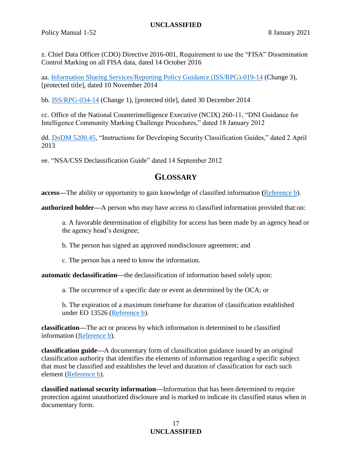Policy Manual 1-52 8 January 2021

<span id="page-16-7"></span>z. Chief Data Officer (CDO) Directive 2016-001, Requirement to use the "FISA" Dissemination Control Marking on all FISA data, dated 14 October 2016

aa. [Information Sharing Services/Reporting Policy Guidance \(ISS/RPG\)-019-14](https://wiki.nsa.ic.gov/img_auth.php/3/3c/ISSRPG-019-14.pdf) (Change 3), [protected title], dated 10 November 2014

<span id="page-16-9"></span>bb. [ISS/RPG-034-14](https://wiki.nsa.ic.gov/img_auth.php/f/fe/ISSRPG-034-14.pdf) (Change 1), [protected title], dated 30 December 2014

<span id="page-16-10"></span>cc. Office of the National Counterintelligence Executive (NCIX) 260-11, "DNI Guidance for Intelligence Community Marking Challenge Procedures," dated 18 January 2012

<span id="page-16-11"></span>dd. [DoDM 5200.45,](https://netinfo.proj.nsa.ic.gov/www.dtic.mil/whs/directives/corres/pdf/520045m.pdf) "Instructions for Developing Security Classification Guides," dated 2 April 2013

<span id="page-16-12"></span><span id="page-16-1"></span>ee. "NSA/CSS Declassification Guide" dated 14 September 2012

# <span id="page-16-8"></span>**GLOSSARY**

<span id="page-16-5"></span>**access—**The ability or opportunity to gain knowledge of classified information **(**[Reference b\)](#page-14-1).

<span id="page-16-6"></span>**authorized holder—**A person who may have access to classified information provided that:on:

a. A favorable determination of eligibility for access has been made by an agency head or the agency head's designee;

b. The person has signed an approved nondisclosure agreement; and

c. The person has a need to know the information.

<span id="page-16-4"></span>**automatic declassification—**the declassification of information based solely upon:

a. The occurrence of a specific date or event as determined by the OCA; or

b. The expiration of a maximum timeframe for duration of classification established under EO 13526 [\(Reference b\)](#page-14-1).

<span id="page-16-2"></span>**classification—**The act or process by which information is determined to be classified information [\(Reference b\)](#page-14-1).

<span id="page-16-3"></span>**classification guide—**A documentary form of classification guidance issued by an original classification authority that identifies the elements of information regarding a specific subject that must be classified and establishes the level and duration of classification for each such element [\(Reference b\)](#page-14-1).

<span id="page-16-0"></span>**classified national security information—**Information that has been determined to require protection against unauthorized disclosure and is marked to indicate its classified status when in documentary form.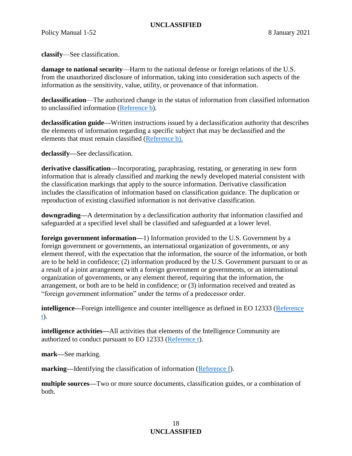<span id="page-17-0"></span>**classify**—See classification.

<span id="page-17-7"></span>**damage to national security**—Harm to the national defense or foreign relations of the U.S. from the unauthorized disclosure of information, taking into consideration such aspects of the information as the sensitivity, value, utility, or provenance of that information.

<span id="page-17-3"></span>**declassification**—The authorized change in the status of information from classified information to unclassified information [\(Reference b\)](#page-14-1).

<span id="page-17-8"></span>**declassification guide—**Written instructions issued by a declassification authority that describes the elements of information regarding a specific subject that may be declassified and the elements that must remain classified [\(Reference b\)](#page-14-1).

<span id="page-17-1"></span>**declassify—**See declassification.

<span id="page-17-10"></span>**derivative classification—**Incorporating, paraphrasing, restating, or generating in new form information that is already classified and marking the newly developed material consistent with the classification markings that apply to the source information. Derivative classification includes the classification of information based on classification guidance. The duplication or reproduction of existing classified information is not derivative classification.

<span id="page-17-11"></span>**downgrading—**A determination by a declassification authority that information classified and safeguarded at a specified level shall be classified and safeguarded at a lower level.

<span id="page-17-4"></span>**foreign government information—**1) Information provided to the U.S. Government by a foreign government or governments, an international organization of governments, or any element thereof, with the expectation that the information, the source of the information, or both are to be held in confidence; (2) information produced by the U.S. Government pursuant to or as a result of a joint arrangement with a foreign government or governments, or an international organization of governments, or any element thereof, requiring that the information, the arrangement, or both are to be held in confidence; or (3) information received and treated as "foreign government information" under the terms of a predecessor order.

<span id="page-17-6"></span>**intelligence—**Foreign intelligence and counter intelligence as defined in EO 12333 (Reference [t\)](#page-15-12).

<span id="page-17-5"></span>**intelligence activities—All** activities that elements of the Intelligence Community are authorized to conduct pursuant to EO 12333 [\(Reference t\)](#page-15-12).

<span id="page-17-2"></span>**mark—**See marking.

<span id="page-17-9"></span>**marking—**Identifying the classification of information [\(Reference f\)](#page-14-6).

<span id="page-17-12"></span>**multiple sources—**Two or more source documents, classification guides, or a combination of both.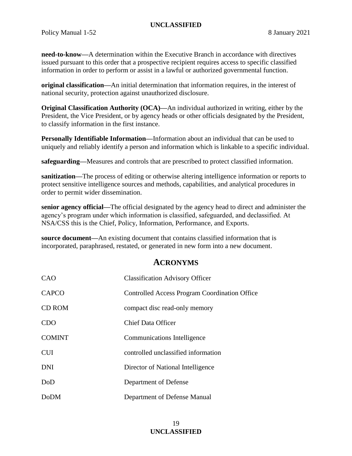<span id="page-18-6"></span>**need-to-know—**A determination within the Executive Branch in accordance with directives issued pursuant to this order that a prospective recipient requires access to specific classified information in order to perform or assist in a lawful or authorized governmental function.

<span id="page-18-3"></span>**original classification—**An initial determination that information requires, in the interest of national security, protection against unauthorized disclosure.

<span id="page-18-2"></span>**Original Classification Authority (OCA)—**An individual authorized in writing, either by the President, the Vice President, or by agency heads or other officials designated by the President, to classify information in the first instance.

<span id="page-18-7"></span>**Personally Identifiable Information—**Information about an individual that can be used to uniquely and reliably identify a person and information which is linkable to a specific individual.

<span id="page-18-0"></span>**safeguarding—**Measures and controls that are prescribed to protect classified information.

<span id="page-18-8"></span>**sanitization—**The process of editing or otherwise altering intelligence information or reports to protect sensitive intelligence sources and methods, capabilities, and analytical procedures in order to permit wider dissemination.

<span id="page-18-4"></span>**senior agency official—**The official designated by the agency head to direct and administer the agency's program under which information is classified, safeguarded, and declassified. At NSA/CSS this is the Chief, Policy, Information, Performance, and Exports.

<span id="page-18-5"></span>**source document—**An existing document that contains classified information that is incorporated, paraphrased, restated, or generated in new form into a new document.

# **ACRONYMS**

<span id="page-18-1"></span>

| CAO           | <b>Classification Advisory Officer</b>        |
|---------------|-----------------------------------------------|
| <b>CAPCO</b>  | Controlled Access Program Coordination Office |
| <b>CD ROM</b> | compact disc read-only memory                 |
| <b>CDO</b>    | <b>Chief Data Officer</b>                     |
| <b>COMINT</b> | Communications Intelligence                   |
| <b>CUI</b>    | controlled unclassified information           |
| <b>DNI</b>    | Director of National Intelligence             |
| DoD           | Department of Defense                         |
| <b>DoDM</b>   | Department of Defense Manual                  |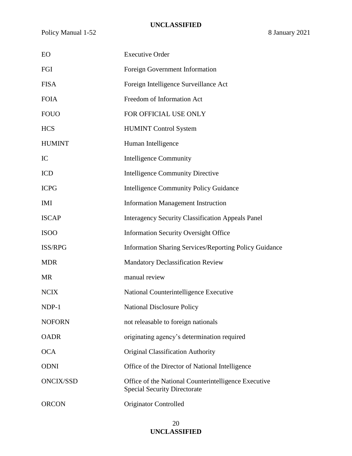| EO               | <b>Executive Order</b>                                                                      |
|------------------|---------------------------------------------------------------------------------------------|
| FGI              | Foreign Government Information                                                              |
| <b>FISA</b>      | Foreign Intelligence Surveillance Act                                                       |
| <b>FOIA</b>      | Freedom of Information Act                                                                  |
| <b>FOUO</b>      | FOR OFFICIAL USE ONLY                                                                       |
| <b>HCS</b>       | <b>HUMINT Control System</b>                                                                |
| <b>HUMINT</b>    | Human Intelligence                                                                          |
| IC               | <b>Intelligence Community</b>                                                               |
| <b>ICD</b>       | <b>Intelligence Community Directive</b>                                                     |
| <b>ICPG</b>      | <b>Intelligence Community Policy Guidance</b>                                               |
| <b>IMI</b>       | <b>Information Management Instruction</b>                                                   |
| <b>ISCAP</b>     | <b>Interagency Security Classification Appeals Panel</b>                                    |
| <b>ISOO</b>      | <b>Information Security Oversight Office</b>                                                |
| ISS/RPG          | <b>Information Sharing Services/Reporting Policy Guidance</b>                               |
| <b>MDR</b>       | <b>Mandatory Declassification Review</b>                                                    |
| <b>MR</b>        | manual review                                                                               |
| <b>NCIX</b>      | National Counterintelligence Executive                                                      |
| NDP-1            | <b>National Disclosure Policy</b>                                                           |
| <b>NOFORN</b>    | not releasable to foreign nationals                                                         |
| <b>OADR</b>      | originating agency's determination required                                                 |
| <b>OCA</b>       | <b>Original Classification Authority</b>                                                    |
| <b>ODNI</b>      | Office of the Director of National Intelligence                                             |
| <b>ONCIX/SSD</b> | Office of the National Counterintelligence Executive<br><b>Special Security Directorate</b> |
| <b>ORCON</b>     | Originator Controlled                                                                       |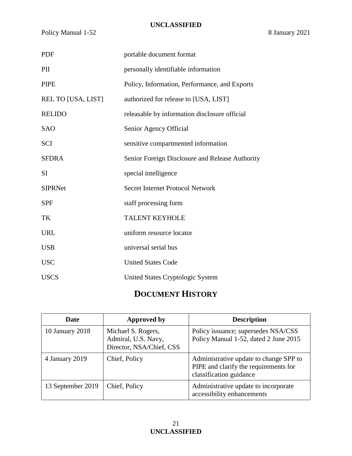Policy Manual 1-52 8 January 2021

| <b>PDF</b>         | portable document format                        |
|--------------------|-------------------------------------------------|
| PII                | personally identifiable information             |
| <b>PIPE</b>        | Policy, Information, Performance, and Exports   |
| REL TO [USA, LIST] | authorized for release to [USA, LIST]           |
| <b>RELIDO</b>      | releasable by information disclosure official   |
| <b>SAO</b>         | Senior Agency Official                          |
| <b>SCI</b>         | sensitive compartmented information             |
| <b>SFDRA</b>       | Senior Foreign Disclosure and Release Authority |
| SI                 | special intelligence                            |
| <b>SIPRNet</b>     | <b>Secret Internet Protocol Network</b>         |
| <b>SPF</b>         | staff processing form                           |
| TK                 | <b>TALENT KEYHOLE</b>                           |
| <b>URL</b>         | uniform resource locator                        |
| <b>USB</b>         | universal serial bus                            |
| <b>USC</b>         | <b>United States Code</b>                       |
| <b>USCS</b>        | United States Cryptologic System                |

# **DOCUMENT HISTORY**

<span id="page-20-0"></span>

| Date              | <b>Approved by</b>                                                    | <b>Description</b>                                                                                         |
|-------------------|-----------------------------------------------------------------------|------------------------------------------------------------------------------------------------------------|
| 10 January 2018   | Michael S. Rogers,<br>Admiral, U.S. Navy,<br>Director, NSA/Chief, CSS | Policy issuance; supersedes NSA/CSS<br>Policy Manual 1-52, dated 2 June 2015                               |
| 4 January 2019    | Chief, Policy                                                         | Administrative update to change SPP to<br>PIPE and clarify the requirements for<br>classification guidance |
| 13 September 2019 | Chief, Policy                                                         | Administrative update to incorporate<br>accessibility enhancements                                         |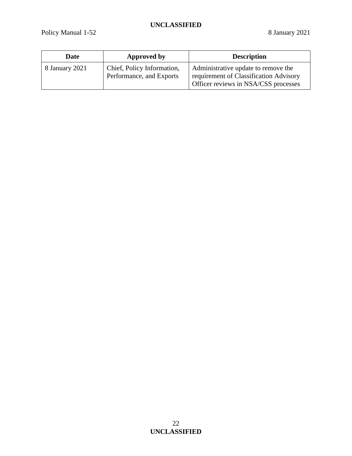| Date           | Approved by                                            | <b>Description</b>                                                                                                    |
|----------------|--------------------------------------------------------|-----------------------------------------------------------------------------------------------------------------------|
| 8 January 2021 | Chief, Policy Information,<br>Performance, and Exports | Administrative update to remove the<br>requirement of Classification Advisory<br>Officer reviews in NSA/CSS processes |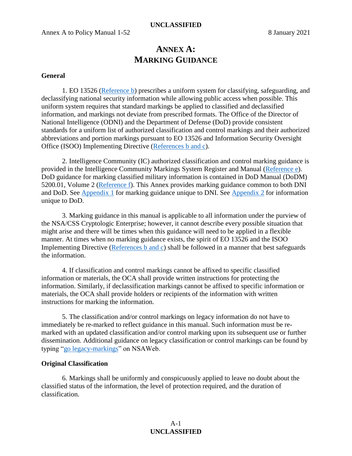# **ANNEX A: MARKING GUIDANCE**

## <span id="page-22-1"></span><span id="page-22-0"></span>**General**

1. EO 13526 [\(Reference b\)](#page-14-1) prescribes a uniform system for classifying, safeguarding, and declassifying national security information while allowing public access when possible. This uniform system requires that standard markings be applied to classified and declassified information, and markings not deviate from prescribed formats. The Office of the Director of National Intelligence (ODNI) and the Department of Defense (DoD) provide consistent standards for a uniform list of authorized classification and control markings and their authorized abbreviations and portion markings pursuant to EO 13526 and Information Security Oversight Office (ISOO) Implementing Directive [\(References b and c\)](#page-14-1).

2. Intelligence Community (IC) authorized classification and control marking guidance is provided in the Intelligence Community Markings System Register and Manual [\(Reference e\)](#page-14-5). DoD guidance for marking classified military information is contained in DoD Manual (DoDM) 5200.01, Volume 2 [\(Reference](#page-14-6) f). This Annex provides marking guidance common to both DNI and DoD. See [Appendix 1](#page-32-0) for marking guidance unique to DNI. See [Appendix 2](#page-37-0) for information unique to DoD.

3. Marking guidance in this manual is applicable to all information under the purview of the NSA/CSS Cryptologic Enterprise; however, it cannot describe every possible situation that might arise and there will be times when this guidance will need to be applied in a flexible manner. At times when no marking guidance exists, the spirit of EO 13526 and the ISOO Implementing Directive [\(References b and c\)](#page-14-1) shall be followed in a manner that best safeguards the information.

4. If classification and control markings cannot be affixed to specific classified information or materials, the OCA shall provide written instructions for protecting the information. Similarly, if declassification markings cannot be affixed to specific information or materials, the OCA shall provide holders or recipients of the information with written instructions for marking the information.

5. The classification and/or control markings on legacy information do not have to immediately be re-marked to reflect guidance in this manual. Such information must be remarked with an updated classification and/or control marking upon its subsequent use or further dissemination. Additional guidance on legacy classification or control markings can be found by typing ["go legacy-markings"](https://urn.nsa.ic.gov/legacy-markings) on NSAWeb.

#### <span id="page-22-2"></span>**Original Classification**

6. Markings shall be uniformly and conspicuously applied to leave no doubt about the classified status of the information, the level of protection required, and the duration of classification.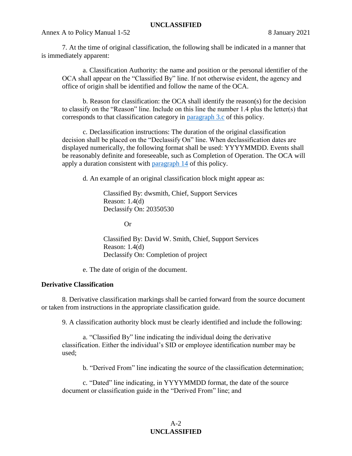Annex A to Policy Manual 1-52 8 January 2021

7. At the time of original classification, the following shall be indicated in a manner that is immediately apparent:

a. Classification Authority: the name and position or the personal identifier of the OCA shall appear on the "Classified By" line. If not otherwise evident, the agency and office of origin shall be identified and follow the name of the OCA.

b. Reason for classification: the OCA shall identify the reason(s) for the decision to classify on the "Reason" line. Include on this line the number 1.4 plus the letter(s) that corresponds to that classification category in [paragraph 3.c](#page-3-2) of this policy.

c. Declassification instructions: The duration of the original classification decision shall be placed on the "Declassify On" line. When declassification dates are displayed numerically, the following format shall be used: YYYYMMDD. Events shall be reasonably definite and foreseeable, such as Completion of Operation. The OCA will apply a duration consistent with [paragraph 14](#page-5-2) of this policy.

d. An example of an original classification block might appear as:

Classified By: dwsmith, Chief, Support Services Reason: 1.4(d) Declassify On: 20350530

Or

Classified By: David W. Smith, Chief, Support Services Reason: 1.4(d) Declassify On: Completion of project

e. The date of origin of the document.

# <span id="page-23-0"></span>**Derivative Classification**

8. Derivative classification markings shall be carried forward from the source document or taken from instructions in the appropriate classification guide.

9. A classification authority block must be clearly identified and include the following:

a. "Classified By" line indicating the individual doing the derivative classification. Either the individual's SID or employee identification number may be used;

b. "Derived From" line indicating the source of the classification determination;

c. "Dated" line indicating, in YYYYMMDD format, the date of the source document or classification guide in the "Derived From" line; and

# $A-2$ **UNCLASSIFIED**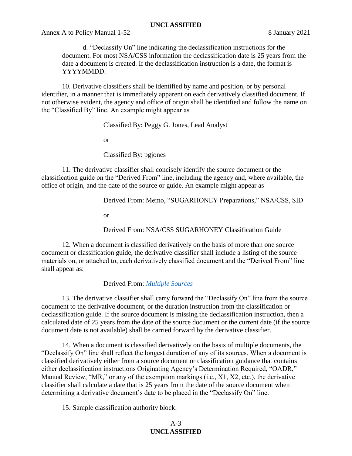Annex A to Policy Manual 1-52 8 January 2021

d. "Declassify On" line indicating the declassification instructions for the document. For most NSA/CSS information the declassification date is 25 years from the date a document is created. If the declassification instruction is a date, the format is YYYYMMDD.

10. Derivative classifiers shall be identified by name and position, or by personal identifier, in a manner that is immediately apparent on each derivatively classified document. If not otherwise evident, the agency and office of origin shall be identified and follow the name on the "Classified By" line. An example might appear as

Classified By: Peggy G. Jones, Lead Analyst

or

Classified By: pgjones

11. The derivative classifier shall concisely identify the source document or the classification guide on the "Derived From" line, including the agency and, where available, the office of origin, and the date of the source or guide. An example might appear as

Derived From: Memo, "SUGARHONEY Preparations," NSA/CSS, SID

or

Derived From: NSA/CSS SUGARHONEY Classification Guide

12. When a document is classified derivatively on the basis of more than one source document or classification guide, the derivative classifier shall include a listing of the source materials on, or attached to, each derivatively classified document and the "Derived From" line shall appear as:

Derived From: *[Multiple Sources](#page-17-12)*

13. The derivative classifier shall carry forward the "Declassify On" line from the source document to the derivative document, or the duration instruction from the classification or declassification guide. If the source document is missing the declassification instruction, then a calculated date of 25 years from the date of the source document or the current date (if the source document date is not available) shall be carried forward by the derivative classifier.

14. When a document is classified derivatively on the basis of multiple documents, the "Declassify On" line shall reflect the longest duration of any of its sources. When a document is classified derivatively either from a source document or classification guidance that contains either declassification instructions Originating Agency's Determination Required, "OADR," Manual Review, "MR," or any of the exemption markings (i.e., X1, X2, etc.), the derivative classifier shall calculate a date that is 25 years from the date of the source document when determining a derivative document's date to be placed in the "Declassify On" line.

15. Sample classification authority block:

# A-3 **UNCLASSIFIED**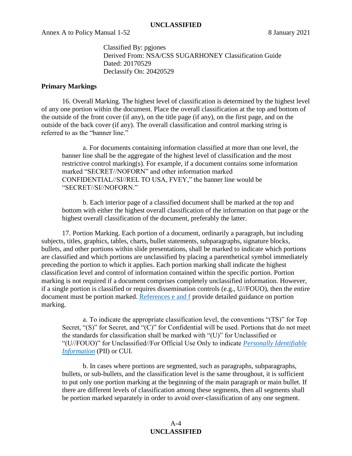Classified By: pgjones Derived From: NSA/CSS SUGARHONEY Classification Guide Dated: 20170529 Declassify On: 20420529

### <span id="page-25-0"></span>**Primary Markings**

16. Overall Marking. The highest level of classification is determined by the highest level of any one portion within the document. Place the overall classification at the top and bottom of the outside of the front cover (if any), on the title page (if any), on the first page, and on the outside of the back cover (if any). The overall classification and control marking string is referred to as the "banner line."

a. For documents containing information classified at more than one level, the banner line shall be the aggregate of the highest level of classification and the most restrictive control marking(s). For example, if a document contains some information marked "SECRET//NOFORN" and other information marked CONFIDENTIAL//SI//REL TO USA, FVEY," the banner line would be "SECRET//SI//NOFORN."

b. Each interior page of a classified document shall be marked at the top and bottom with either the highest overall classification of the information on that page or the highest overall classification of the document, preferably the latter.

17. Portion Marking. Each portion of a document, ordinarily a paragraph, but including subjects, titles, graphics, tables, charts, bullet statements, subparagraphs, signature blocks, bullets, and other portions within slide presentations, shall be marked to indicate which portions are classified and which portions are unclassified by placing a parenthetical symbol immediately preceding the portion to which it applies. Each portion marking shall indicate the highest classification level and control of information contained within the specific portion. Portion marking is not required if a document comprises completely unclassified information. However, if a single portion is classified or requires dissemination controls (e.g., U//FOUO), then the entire document must be portion marked. [References e and f](#page-14-5) provide detailed guidance on portion marking.

a. To indicate the appropriate classification level, the conventions "(TS)" for Top Secret, "(S)" for Secret, and "(C)" for Confidential will be used. Portions that do not meet the standards for classification shall be marked with "(U)" for Unclassified or "(U//FOUO)" for Unclassified//For Official Use Only to indicate *[Personally Identifiable](#page-18-7)  [Information](#page-18-7)* (PII) or CUI.

b. In cases where portions are segmented, such as paragraphs, subparagraphs, bullets, or sub-bullets, and the classification level is the same throughout, it is sufficient to put only one portion marking at the beginning of the main paragraph or main bullet. If there are different levels of classification among these segments, then all segments shall be portion marked separately in order to avoid over-classification of any one segment.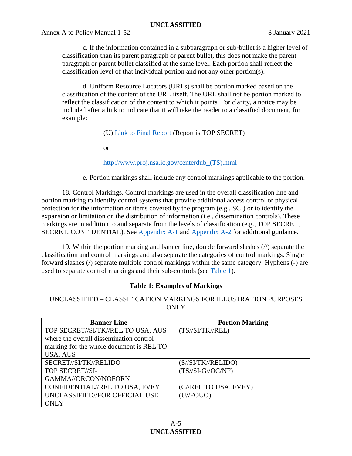Annex A to Policy Manual 1-52 8 January 2021

c. If the information contained in a subparagraph or sub-bullet is a higher level of classification than its parent paragraph or parent bullet, this does not make the parent paragraph or parent bullet classified at the same level. Each portion shall reflect the classification level of that individual portion and not any other portion(s).

d. Uniform Resource Locators (URLs) shall be portion marked based on the classification of the content of the URL itself. The URL shall not be portion marked to reflect the classification of the content to which it points. For clarity, a notice may be included after a link to indicate that it will take the reader to a classified document, for example:

# (U) Link to Final Report (Report is TOP SECRET)

or

# http://www.proj.nsa.ic.gov/centerdub\_(TS).html

e. Portion markings shall include any control markings applicable to the portion.

18. Control Markings. Control markings are used in the overall classification line and portion marking to identify control systems that provide additional access control or physical protection for the information or items covered by the program (e.g., SCI) or to identify the expansion or limitation on the distribution of information (i.e., dissemination controls). These markings are in addition to and separate from the levels of classification (e.g., TOP SECRET, SECRET, CONFIDENTIAL). See [Appendix A-1](#page-32-0) and [Appendix A-2](#page-37-0) for additional guidance.

19. Within the portion marking and banner line, double forward slashes (//) separate the classification and control markings and also separate the categories of control markings. Single forward slashes (/) separate multiple control markings within the same category. Hyphens (-) are used to separate control markings and their sub-controls (see [Table 1\)](#page-26-1).

# **Table 1: Examples of Markings**

<span id="page-26-0"></span>UNCLASSIFIED – CLASSIFICATION MARKINGS FOR ILLUSTRATION PURPOSES **ONLY** 

<span id="page-26-1"></span>

| <b>Banner Line</b>                       | <b>Portion Marking</b>    |
|------------------------------------------|---------------------------|
| TOP SECRET//SI/TK//REL TO USA, AUS       | (TS//SI/TK//REL)          |
| where the overall dissemination control  |                           |
| marking for the whole document is REL TO |                           |
| USA, AUS                                 |                           |
| SECRET//SI/TK//RELIDO                    | (S//SI/TK//RELIDO)        |
| TOP SECRET//SI-                          | $(TS/\!/SI-G/\!/OC/\!NF)$ |
| GAMMA//ORCON/NOFORN                      |                           |
| CONFIDENTIAL//REL TO USA, FVEY           | (C//REL TO USA, FVEY)     |
| UNCLASSIFIED//FOR OFFICIAL USE           | (U/FOUO)                  |
| <b>ONLY</b>                              |                           |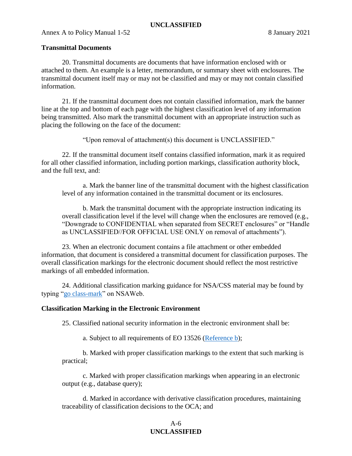## <span id="page-27-0"></span>**Transmittal Documents**

20. Transmittal documents are documents that have information enclosed with or attached to them. An example is a letter, memorandum, or summary sheet with enclosures. The transmittal document itself may or may not be classified and may or may not contain classified information.

21. If the transmittal document does not contain classified information, mark the banner line at the top and bottom of each page with the highest classification level of any information being transmitted. Also mark the transmittal document with an appropriate instruction such as placing the following on the face of the document:

"Upon removal of attachment(s) this document is UNCLASSIFIED."

22. If the transmittal document itself contains classified information, mark it as required for all other classified information, including portion markings, classification authority block, and the full text, and:

a. Mark the banner line of the transmittal document with the highest classification level of any information contained in the transmittal document or its enclosures.

b. Mark the transmittal document with the appropriate instruction indicating its overall classification level if the level will change when the enclosures are removed (e.g., "Downgrade to CONFIDENTIAL when separated from SECRET enclosures" or "Handle as UNCLASSIFIED//FOR OFFICIAL USE ONLY on removal of attachments").

23. When an electronic document contains a file attachment or other embedded information, that document is considered a transmittal document for classification purposes. The overall classification markings for the electronic document should reflect the most restrictive markings of all embedded information.

24. Additional classification marking guidance for NSA/CSS material may be found by typing ["go class-mark"](https://urn.nsa.ic.gov/class-mark) on NSAWeb.

# <span id="page-27-1"></span>**Classification Marking in the Electronic Environment**

25. Classified national security information in the electronic environment shall be:

a. Subject to all requirements of EO 13526 [\(Reference b\)](#page-14-1);

b. Marked with proper classification markings to the extent that such marking is practical;

c. Marked with proper classification markings when appearing in an electronic output (e.g., database query);

d. Marked in accordance with derivative classification procedures, maintaining traceability of classification decisions to the OCA; and

# A-6 **UNCLASSIFIED**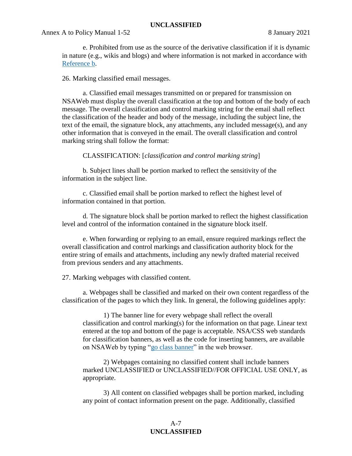e. Prohibited from use as the source of the derivative classification if it is dynamic in nature (e.g., wikis and blogs) and where information is not marked in accordance with [Reference b.](#page-14-1)

### 26. Marking classified email messages.

a. Classified email messages transmitted on or prepared for transmission on NSAWeb must display the overall classification at the top and bottom of the body of each message. The overall classification and control marking string for the email shall reflect the classification of the header and body of the message, including the subject line, the text of the email, the signature block, any attachments, any included message(s), and any other information that is conveyed in the email. The overall classification and control marking string shall follow the format:

# CLASSIFICATION: [*classification and control marking string*]

b. Subject lines shall be portion marked to reflect the sensitivity of the information in the subject line.

c. Classified email shall be portion marked to reflect the highest level of information contained in that portion.

d. The signature block shall be portion marked to reflect the highest classification level and control of the information contained in the signature block itself.

e. When forwarding or replying to an email, ensure required markings reflect the overall classification and control markings and classification authority block for the entire string of emails and attachments, including any newly drafted material received from previous senders and any attachments.

27. Marking webpages with classified content.

a. Webpages shall be classified and marked on their own content regardless of the classification of the pages to which they link. In general, the following guidelines apply:

1) The banner line for every webpage shall reflect the overall classification and control marking(s) for the information on that page. Linear text entered at the top and bottom of the page is acceptable. NSA/CSS web standards for classification banners, as well as the code for inserting banners, are available on NSAWeb by typing ["go class banner"](https://urn.nsa.ic.gov/class-banner) in the web browser.

2) Webpages containing no classified content shall include banners marked UNCLASSIFIED or UNCLASSIFIED//FOR OFFICIAL USE ONLY, as appropriate.

3) All content on classified webpages shall be portion marked, including any point of contact information present on the page. Additionally, classified

# A-7 **UNCLASSIFIED**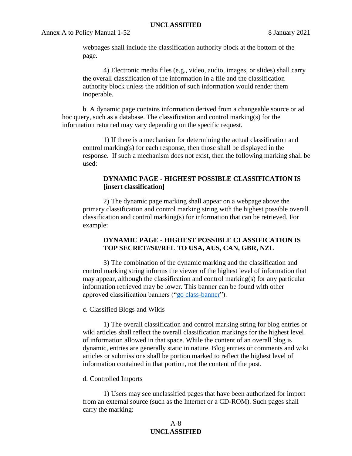webpages shall include the classification authority block at the bottom of the page.

4) Electronic media files (e.g., video, audio, images, or slides) shall carry the overall classification of the information in a file and the classification authority block unless the addition of such information would render them inoperable.

b. A dynamic page contains information derived from a changeable source or ad hoc query, such as a database. The classification and control marking(s) for the information returned may vary depending on the specific request.

1) If there is a mechanism for determining the actual classification and control marking(s) for each response, then those shall be displayed in the response. If such a mechanism does not exist, then the following marking shall be used:

# **DYNAMIC PAGE - HIGHEST POSSIBLE CLASSIFICATION IS [insert classification]**

2) The dynamic page marking shall appear on a webpage above the primary classification and control marking string with the highest possible overall classification and control marking(s) for information that can be retrieved. For example:

# **DYNAMIC PAGE - HIGHEST POSSIBLE CLASSIFICATION IS TOP SECRET//SI//REL TO USA, AUS, CAN, GBR, NZL**

3) The combination of the dynamic marking and the classification and control marking string informs the viewer of the highest level of information that may appear, although the classification and control marking(s) for any particular information retrieved may be lower. This banner can be found with other approved classification banners (["go class-banner"](http://urn.nsa.ic.gov/class-banner)).

#### c. Classified Blogs and Wikis

1) The overall classification and control marking string for blog entries or wiki articles shall reflect the overall classification markings for the highest level of information allowed in that space. While the content of an overall blog is dynamic, entries are generally static in nature. Blog entries or comments and wiki articles or submissions shall be portion marked to reflect the highest level of information contained in that portion, not the content of the post.

#### d. Controlled Imports

1) Users may see unclassified pages that have been authorized for import from an external source (such as the Internet or a CD-ROM). Such pages shall carry the marking:

# A-8 **UNCLASSIFIED**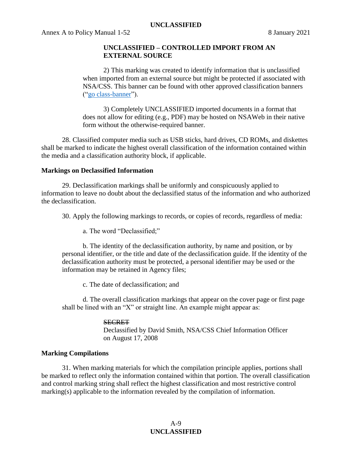# **UNCLASSIFIED – CONTROLLED IMPORT FROM AN EXTERNAL SOURCE**

2) This marking was created to identify information that is unclassified when imported from an external source but might be protected if associated with NSA/CSS. This banner can be found with other approved classification banners (["go class-banner"](http://urn.nsa.ic.gov/class-banner)).

3) Completely UNCLASSIFIED imported documents in a format that does not allow for editing (e.g., PDF) may be hosted on NSAWeb in their native form without the otherwise-required banner.

28. Classified computer media such as USB sticks, hard drives, CD ROMs, and diskettes shall be marked to indicate the highest overall classification of the information contained within the media and a classification authority block, if applicable.

# <span id="page-30-0"></span>**Markings on Declassified Information**

29. Declassification markings shall be uniformly and conspicuously applied to information to leave no doubt about the declassified status of the information and who authorized the declassification.

30. Apply the following markings to records, or copies of records, regardless of media:

a. The word "Declassified;"

b. The identity of the declassification authority, by name and position, or by personal identifier, or the title and date of the declassification guide. If the identity of the declassification authority must be protected, a personal identifier may be used or the information may be retained in Agency files;

c. The date of declassification; and

d. The overall classification markings that appear on the cover page or first page shall be lined with an "X" or straight line. An example might appear as:

# **SECRET**

Declassified by David Smith, NSA/CSS Chief Information Officer on August 17, 2008

# <span id="page-30-1"></span>**Marking Compilations**

31. When marking materials for which the compilation principle applies, portions shall be marked to reflect only the information contained within that portion. The overall classification and control marking string shall reflect the highest classification and most restrictive control marking(s) applicable to the information revealed by the compilation of information.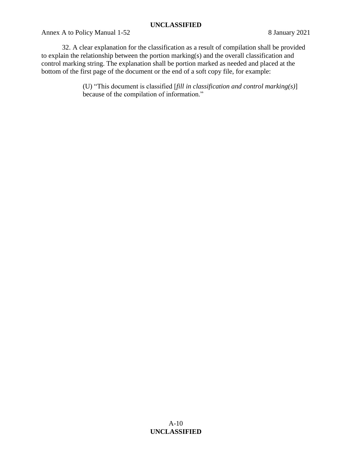Annex A to Policy Manual 1-52 8 January 2021

32. A clear explanation for the classification as a result of compilation shall be provided to explain the relationship between the portion marking(s) and the overall classification and control marking string. The explanation shall be portion marked as needed and placed at the bottom of the first page of the document or the end of a soft copy file, for example:

> (U) "This document is classified [*fill in classification and control marking(s)*] because of the compilation of information."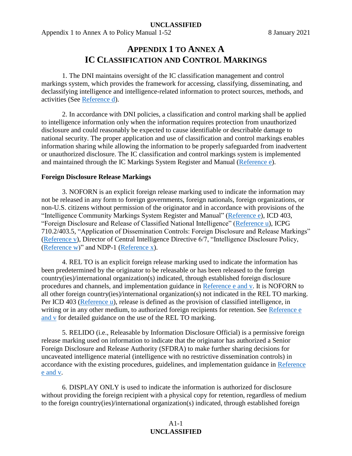<span id="page-32-0"></span>Appendix 1 to Annex A to Policy Manual 1-52 8 January 2021

# **APPENDIX 1 TO ANNEX A IC CLASSIFICATION AND CONTROL MARKINGS**

1. The DNI maintains oversight of the IC classification management and control markings system, which provides the framework for accessing, classifying, disseminating, and declassifying intelligence and intelligence-related information to protect sources, methods, and activities (See [Reference d\)](#page-14-7).

2. In accordance with DNI policies, a classification and control marking shall be applied to intelligence information only when the information requires protection from unauthorized disclosure and could reasonably be expected to cause identifiable or describable damage to national security. The proper application and use of classification and control markings enables information sharing while allowing the information to be properly safeguarded from inadvertent or unauthorized disclosure. The IC classification and control markings system is implemented and maintained through the IC Markings System Register and Manual [\(Reference e\)](#page-14-5).

# <span id="page-32-1"></span>**Foreign Disclosure Release Markings**

3. NOFORN is an explicit foreign release marking used to indicate the information may not be released in any form to foreign governments, foreign nationals, foreign organizations, or non-U.S. citizens without permission of the originator and in accordance with provisions of the "Intelligence Community Markings System Register and Manual" [\(Reference e\)](#page-14-5), ICD 403, "Foreign Disclosure and Release of Classified National Intelligence" [\(Reference u\)](#page-15-13), ICPG 710.2/403.5, "Application of Dissemination Controls: Foreign Disclosure and Release Markings" [\(Reference v\)](#page-15-14), Director of Central Intelligence Directive 6/7, "Intelligence Disclosure Policy, [\(Reference w\)](#page-15-15)" and NDP-1 [\(Reference x\)](#page-15-16).

4. REL TO is an explicit foreign release marking used to indicate the information has been predetermined by the originator to be releasable or has been released to the foreign country(ies)/international organization(s) indicated, through established foreign disclosure procedures and channels, and implementation guidance in [Reference e and v.](#page-14-5) It is NOFORN to all other foreign country(ies)/international organization(s) not indicated in the REL TO marking. Per ICD 403 [\(Reference u\)](#page-15-13), release is defined as the provision of classified intelligence, in writing or in any other medium, to authorized foreign recipients for retention. See Reference e [and v](#page-14-5) for detailed guidance on the use of the REL TO marking.

5. RELIDO (i.e., Releasable by Information Disclosure Official) is a permissive foreign release marking used on information to indicate that the originator has authorized a Senior Foreign Disclosure and Release Authority (SFDRA) to make further sharing decisions for uncaveated intelligence material (intelligence with no restrictive dissemination controls) in accordance with the existing procedures, guidelines, and implementation guidance in [Reference](#page-14-5)  [e and v.](#page-14-5)

6. DISPLAY ONLY is used to indicate the information is authorized for disclosure without providing the foreign recipient with a physical copy for retention, regardless of medium to the foreign country(ies)/international organization(s) indicated, through established foreign

# A1-1 **UNCLASSIFIED**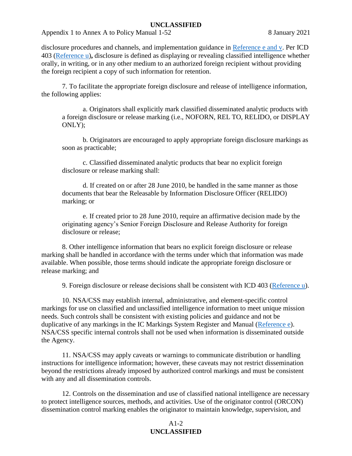Appendix 1 to Annex A to Policy Manual 1-52 8 January 2021

disclosure procedures and channels, and implementation guidance in [Reference e and v.](#page-14-5) Per ICD 403 [\(Reference u\)](#page-15-13)**,** disclosure is defined as displaying or revealing classified intelligence whether orally, in writing, or in any other medium to an authorized foreign recipient without providing the foreign recipient a copy of such information for retention.

7. To facilitate the appropriate foreign disclosure and release of intelligence information, the following applies:

a. Originators shall explicitly mark classified disseminated analytic products with a foreign disclosure or release marking (i.e., NOFORN, REL TO, RELIDO, or DISPLAY ONLY);

b. Originators are encouraged to apply appropriate foreign disclosure markings as soon as practicable;

c. Classified disseminated analytic products that bear no explicit foreign disclosure or release marking shall:

d. If created on or after 28 June 2010, be handled in the same manner as those documents that bear the Releasable by Information Disclosure Officer (RELIDO) marking; or

e. If created prior to 28 June 2010, require an affirmative decision made by the originating agency's Senior Foreign Disclosure and Release Authority for foreign disclosure or release;

8. Other intelligence information that bears no explicit foreign disclosure or release marking shall be handled in accordance with the terms under which that information was made available. When possible, those terms should indicate the appropriate foreign disclosure or release marking; and

9. Foreign disclosure or release decisions shall be consistent with ICD 403 [\(Reference u\)](#page-15-13).

10. NSA/CSS may establish internal, administrative, and element-specific control markings for use on classified and unclassified intelligence information to meet unique mission needs. Such controls shall be consistent with existing policies and guidance and not be duplicative of any markings in the IC Markings System Register and Manual [\(Reference e\)](#page-14-5). NSA/CSS specific internal controls shall not be used when information is disseminated outside the Agency.

11. NSA/CSS may apply caveats or warnings to communicate distribution or handling instructions for intelligence information; however, these caveats may not restrict dissemination beyond the restrictions already imposed by authorized control markings and must be consistent with any and all dissemination controls.

12. Controls on the dissemination and use of classified national intelligence are necessary to protect intelligence sources, methods, and activities. Use of the originator control (ORCON) dissemination control marking enables the originator to maintain knowledge, supervision, and

# A1-2 **UNCLASSIFIED**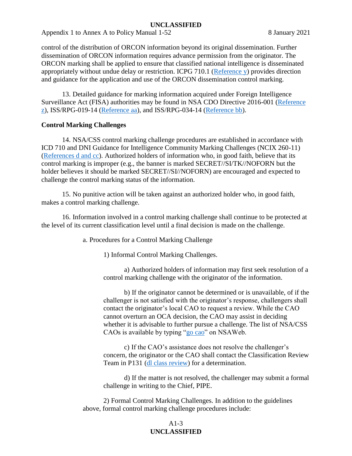Appendix 1 to Annex A to Policy Manual 1-52 8 January 2021

control of the distribution of ORCON information beyond its original dissemination. Further dissemination of ORCON information requires advance permission from the originator. The ORCON marking shall be applied to ensure that classified national intelligence is disseminated appropriately without undue delay or restriction. ICPG 710.1 [\(Reference y\)](#page-15-17) provides direction and guidance for the application and use of the ORCON dissemination control marking.

13. Detailed guidance for marking information acquired under Foreign Intelligence Surveillance Act (FISA) authorities may be found in NSA CDO Directive 2016-001 [\(Reference](#page-16-7)  [z\)](#page-16-7), ISS/RPG-019-14 [\(Reference aa\)](#page-16-8), and ISS/RPG-034-14 [\(Reference bb\)](#page-16-9).

# <span id="page-34-0"></span>**Control Marking Challenges**

14. NSA/CSS control marking challenge procedures are established in accordance with ICD 710 and DNI Guidance for Intelligence Community Marking Challenges (NCIX 260-11) [\(References d and cc\)](#page-14-7). Authorized holders of information who, in good faith, believe that its control marking is improper (e.g., the banner is marked SECRET//SI/TK//NOFORN but the holder believes it should be marked SECRET//SI//NOFORN) are encouraged and expected to challenge the control marking status of the information.

15. No punitive action will be taken against an authorized holder who, in good faith, makes a control marking challenge.

16. Information involved in a control marking challenge shall continue to be protected at the level of its current classification level until a final decision is made on the challenge.

a. Procedures for a Control Marking Challenge

1) Informal Control Marking Challenges.

a) Authorized holders of information may first seek resolution of a control marking challenge with the originator of the information.

b) If the originator cannot be determined or is unavailable, of if the challenger is not satisfied with the originator's response, challengers shall contact the originator's local CAO to request a review. While the CAO cannot overturn an OCA decision, the CAO may assist in deciding whether it is advisable to further pursue a challenge. The list of NSA/CSS CAOs is available by typing ["go cao"](https://urn.nsa.ic.gov/cao) on NSAWeb.

c) If the CAO's assistance does not resolve the challenger's concern, the originator or the CAO shall contact the Classification Review Team in P131 [\(dl class review\)](mailto:class_review@nsa.ic.gov) for a determination.

d) If the matter is not resolved, the challenger may submit a formal challenge in writing to the Chief, PIPE.

2) Formal Control Marking Challenges. In addition to the guidelines above, formal control marking challenge procedures include:

# A1-3 **UNCLASSIFIED**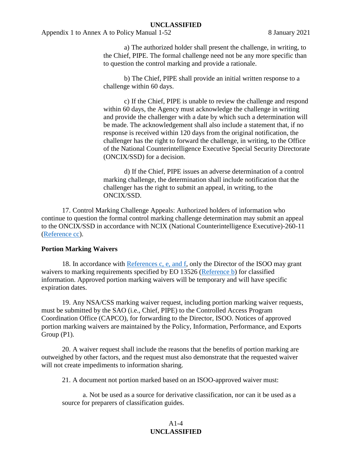Appendix 1 to Annex A to Policy Manual 1-52 8 January 2021

a) The authorized holder shall present the challenge, in writing, to the Chief, PIPE. The formal challenge need not be any more specific than to question the control marking and provide a rationale.

b) The Chief, PIPE shall provide an initial written response to a challenge within 60 days.

c) If the Chief, PIPE is unable to review the challenge and respond within 60 days, the Agency must acknowledge the challenge in writing and provide the challenger with a date by which such a determination will be made. The acknowledgement shall also include a statement that, if no response is received within 120 days from the original notification, the challenger has the right to forward the challenge, in writing, to the Office of the National Counterintelligence Executive Special Security Directorate (ONCIX/SSD) for a decision.

d) If the Chief, PIPE issues an adverse determination of a control marking challenge, the determination shall include notification that the challenger has the right to submit an appeal, in writing, to the ONCIX/SSD.

17. Control Marking Challenge Appeals: Authorized holders of information who continue to question the formal control marking challenge determination may submit an appeal to the ONCIX/SSD in accordance with NCIX (National Counterintelligence Executive)-260-11 [\(Reference cc\)](#page-16-10).

#### <span id="page-35-0"></span>**Portion Marking Waivers**

18. In accordance with [References c, e, and f,](#page-14-2) only the Director of the ISOO may grant waivers to marking requirements specified by EO 13526 [\(Reference b\)](#page-14-1) for classified information. Approved portion marking waivers will be temporary and will have specific expiration dates.

19. Any NSA/CSS marking waiver request, including portion marking waiver requests, must be submitted by the SAO (i.e., Chief, PIPE) to the Controlled Access Program Coordination Office (CAPCO), for forwarding to the Director, ISOO. Notices of approved portion marking waivers are maintained by the Policy, Information, Performance, and Exports Group (P1).

20. A waiver request shall include the reasons that the benefits of portion marking are outweighed by other factors, and the request must also demonstrate that the requested waiver will not create impediments to information sharing.

21. A document not portion marked based on an ISOO-approved waiver must:

a. Not be used as a source for derivative classification, nor can it be used as a source for preparers of classification guides.

# $A1-4$ **UNCLASSIFIED**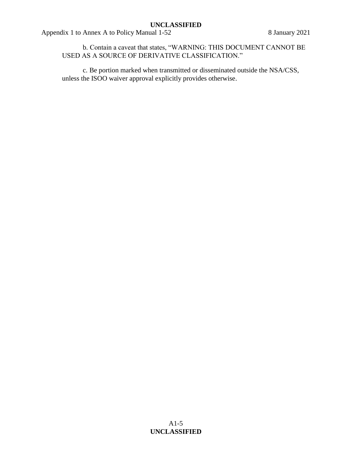Appendix 1 to Annex A to Policy Manual 1-52 8 January 2021

b. Contain a caveat that states, "WARNING: THIS DOCUMENT CANNOT BE USED AS A SOURCE OF DERIVATIVE CLASSIFICATION."

c. Be portion marked when transmitted or disseminated outside the NSA/CSS, unless the ISOO waiver approval explicitly provides otherwise.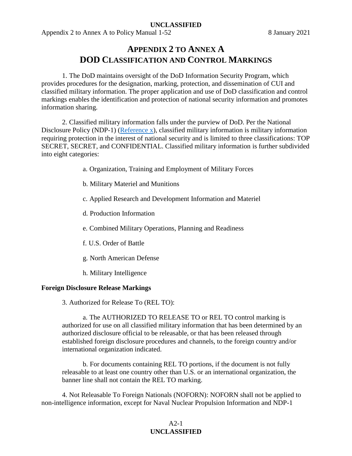<span id="page-37-0"></span>Appendix 2 to Annex A to Policy Manual 1-52 8 January 2021

# **APPENDIX 2 TO ANNEX A DOD CLASSIFICATION AND CONTROL MARKINGS**

1. The DoD maintains oversight of the DoD Information Security Program, which provides procedures for the designation, marking, protection, and dissemination of CUI and classified military information. The proper application and use of DoD classification and control markings enables the identification and protection of national security information and promotes information sharing.

2. Classified military information falls under the purview of DoD. Per the National Disclosure Policy (NDP-1) [\(Reference x\)](#page-15-16), classified military information is military information requiring protection in the interest of national security and is limited to three classifications: TOP SECRET, SECRET, and CONFIDENTIAL. Classified military information is further subdivided into eight categories:

- a. Organization, Training and Employment of Military Forces
- b. Military Materiel and Munitions
- c. Applied Research and Development Information and Materiel
- d. Production Information
- e. Combined Military Operations, Planning and Readiness
- f. U.S. Order of Battle
- g. North American Defense
- h. Military Intelligence

#### <span id="page-37-1"></span>**Foreign Disclosure Release Markings**

3. Authorized for Release To (REL TO):

a. The AUTHORIZED TO RELEASE TO or REL TO control marking is authorized for use on all classified military information that has been determined by an authorized disclosure official to be releasable, or that has been released through established foreign disclosure procedures and channels, to the foreign country and/or international organization indicated.

b. For documents containing REL TO portions, if the document is not fully releasable to at least one country other than U.S. or an international organization, the banner line shall not contain the REL TO marking.

4. Not Releasable To Foreign Nationals (NOFORN): NOFORN shall not be applied to non-intelligence information, except for Naval Nuclear Propulsion Information and NDP-1

# $A2-1$ **UNCLASSIFIED**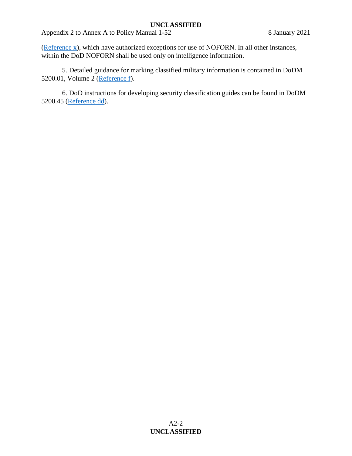Appendix 2 to Annex A to Policy Manual 1-52 8 January 2021

[\(Reference x\)](#page-15-16), which have authorized exceptions for use of NOFORN. In all other instances, within the DoD NOFORN shall be used only on intelligence information.

5. Detailed guidance for marking classified military information is contained in DoDM 5200.01, Volume 2 [\(Reference f\)](#page-14-6).

6. DoD instructions for developing security classification guides can be found in DoDM 5200.45 [\(Reference dd\)](#page-16-11).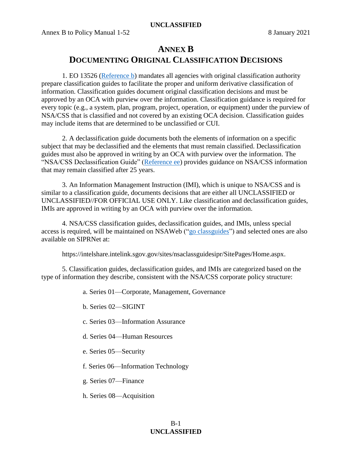# **ANNEX B**

# **DOCUMENTING ORIGINAL CLASSIFICATION DECISIONS**

<span id="page-39-0"></span>1. EO 13526 [\(Reference b\)](#page-14-1) mandates all agencies with original classification authority prepare classification guides to facilitate the proper and uniform derivative classification of information. Classification guides document original classification decisions and must be approved by an OCA with purview over the information. Classification guidance is required for every topic (e.g., a system, plan, program, project, operation, or equipment) under the purview of NSA/CSS that is classified and not covered by an existing OCA decision. Classification guides may include items that are determined to be unclassified or CUI.

2. A declassification guide documents both the elements of information on a specific subject that may be declassified and the elements that must remain classified. Declassification guides must also be approved in writing by an OCA with purview over the information. The "NSA/CSS Declassification Guide" [\(Reference ee\)](#page-16-12) provides guidance on NSA/CSS information that may remain classified after 25 years.

3. An Information Management Instruction (IMI), which is unique to NSA/CSS and is similar to a classification guide, documents decisions that are either all UNCLASSIFIED or UNCLASSIFIED//FOR OFFICIAL USE ONLY. Like classification and declassification guides, IMIs are approved in writing by an OCA with purview over the information.

4. NSA/CSS classification guides, declassification guides, and IMIs, unless special access is required, will be maintained on NSAWeb (["go classguides"](http://urn.nsa.ic.gov/classguides)) and selected ones are also available on SIPRNet at:

https://intelshare.intelink.sgov.gov/sites/nsaclassguidesipr/SitePages/Home.aspx.

5. Classification guides, declassification guides, and IMIs are categorized based on the type of information they describe, consistent with the NSA/CSS corporate policy structure:

a. Series 01—Corporate, Management, Governance

b. Series 02—SIGINT

- c. Series 03—Information Assurance
- d. Series 04—Human Resources
- e. Series 05—Security
- f. Series 06—Information Technology
- g. Series 07—Finance
- h. Series 08—Acquisition

# B-1 **UNCLASSIFIED**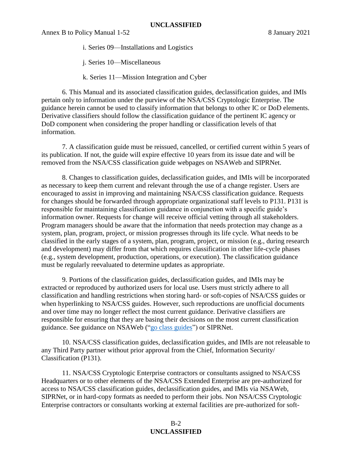i. Series 09—Installations and Logistics

j. Series 10—Miscellaneous

k. Series 11—Mission Integration and Cyber

6. This Manual and its associated classification guides, declassification guides, and IMIs pertain only to information under the purview of the NSA/CSS Cryptologic Enterprise. The guidance herein cannot be used to classify information that belongs to other IC or DoD elements. Derivative classifiers should follow the classification guidance of the pertinent IC agency or DoD component when considering the proper handling or classification levels of that information.

7. A classification guide must be reissued, cancelled, or certified current within 5 years of its publication. If not, the guide will expire effective 10 years from its issue date and will be removed from the NSA/CSS classification guide webpages on NSAWeb and SIPRNet.

8. Changes to classification guides, declassification guides, and IMIs will be incorporated as necessary to keep them current and relevant through the use of a change register. Users are encouraged to assist in improving and maintaining NSA/CSS classification guidance. Requests for changes should be forwarded through appropriate organizational staff levels to P131. P131 is responsible for maintaining classification guidance in conjunction with a specific guide's information owner. Requests for change will receive official vetting through all stakeholders. Program managers should be aware that the information that needs protection may change as a system, plan, program, project, or mission progresses through its life cycle. What needs to be classified in the early stages of a system, plan, program, project, or mission (e.g., during research and development) may differ from that which requires classification in other life-cycle phases (e.g., system development, production, operations, or execution). The classification guidance must be regularly reevaluated to determine updates as appropriate.

9. Portions of the classification guides, declassification guides, and IMIs may be extracted or reproduced by authorized users for local use. Users must strictly adhere to all classification and handling restrictions when storing hard- or soft-copies of NSA/CSS guides or when hyperlinking to NSA/CSS guides. However, such reproductions are unofficial documents and over time may no longer reflect the most current guidance. Derivative classifiers are responsible for ensuring that they are basing their decisions on the most current classification guidance. See guidance on NSAWeb (["go class guides"](http://urn.nsa.ic.gov/classguides)) or SIPRNet.

10. NSA/CSS classification guides, declassification guides, and IMIs are not releasable to any Third Party partner without prior approval from the Chief, Information Security/ Classification (P131).

11. NSA/CSS Cryptologic Enterprise contractors or consultants assigned to NSA/CSS Headquarters or to other elements of the NSA/CSS Extended Enterprise are pre-authorized for access to NSA/CSS classification guides, declassification guides, and IMIs via NSAWeb, SIPRNet, or in hard-copy formats as needed to perform their jobs. Non NSA/CSS Cryptologic Enterprise contractors or consultants working at external facilities are pre-authorized for soft-

# B-2 **UNCLASSIFIED**